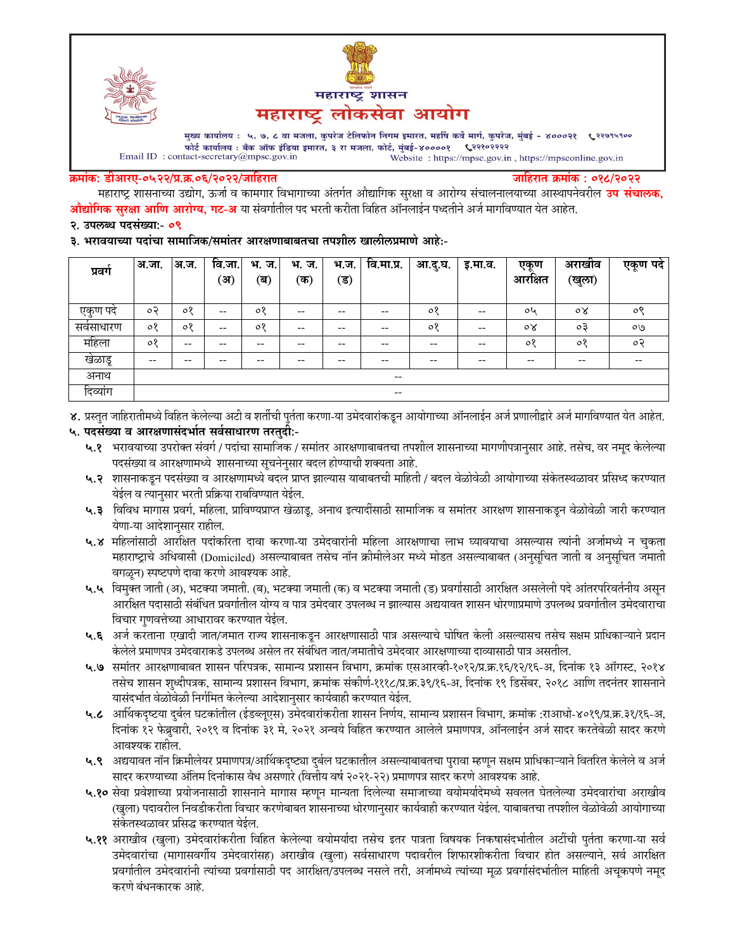



मुख्य कार्यालय : ५, ७, ८ वा मजला, कुपरेज टेलिफोन निगम इमारत, महर्षि कर्वे मार्ग, कुपरेज, मुंबई - ४०००२१ ९२९९९९०० फोर्ट कार्यालय : बँक ऑफ इंडिया इमारत, ३ रा मजला, फोर्ट, मुंबई-४००००१ ९२२१०२२२२  $\label{eq:1} \textbf{Email ID: contact-secretary@mpsc.gov.in}$ Website: https://mpsc.gov.in, https://mpsconline.gov.in

#### क्रमांक: डीआरए-०५२२/प्र.क्र.०६/२०२२/जाहिरात

जाहिरात क्रमांक : ०१८/२०२२

महाराष्ट्र शासनाच्या उद्योग, ऊर्जा व कामगार विभागाच्या अंतर्गत औद्यागिक सुरक्षा व आरोग्य संचालनालयाच्या आस्थापनेवरील **उप संचालक, औद्योगिक सुरक्षा आणि आरोग्य, गट-अ** या संवर्गातील पद भरती करीता विहित ऑनलाईन पध्दतीने अर्ज मार्गावण्यात येत आहेत.

#### २. उपलब्ध पदसंख्या:- ०९

३. भरावयाच्या पदांचा सामाजिक/समांतर आरक्षणाबाबतचा तपशील खालीलप्रमाणे आहे:-

| प्रवग        | अ.जा.                    | अ.ज.    | वि.जा.<br>्अ) | भ.<br>ज.<br>(ब) | भ.<br>ज.<br>(क) | भ.ज.<br>(ड) | वि.मा.प्र.               | आ.दु.घ. | इ.मा.व.                  | एकण<br>आरक्षित | अराखीव<br>(खुला) | एकूण पदे |
|--------------|--------------------------|---------|---------------|-----------------|-----------------|-------------|--------------------------|---------|--------------------------|----------------|------------------|----------|
|              |                          |         |               |                 |                 |             |                          |         |                          |                |                  |          |
| एकुण पदे     | ०२                       | ०१      | $- -$         | ०१              | $- -$           | --          | $- -$                    | $\circ$ | $\overline{\phantom{m}}$ | oh             | $\circ \times$   | ०९       |
| सर्वसाधारण   | $\circ$                  | $\circ$ | $- -$         | $\circ$         | --              | --          | --                       | $\circ$ | $- -$                    | $\circ \times$ | оĘ               | OQ       |
| महिला        | ०१                       | $- -$   | --            | --              | --              | --          | --                       | $- -$   | $- -$                    | $\circ$        | 08               | $\circ$  |
| खेळाडू       | $\overline{\phantom{m}}$ | $- -$   | --            | --              | --              | --          | --                       | $- -$   | $- -$                    | $- -$          | $- -$            | --       |
| अनाथ         |                          |         |               |                 |                 |             | $\overline{\phantom{m}}$ |         |                          |                |                  |          |
| ⌒<br>दिव्याग |                          |         |               |                 |                 |             | $\overline{\phantom{m}}$ |         |                          |                |                  |          |

४. प्रस्तुत जाहिरातीमध्ये विहित केलेल्या अटी व शर्तीची पुर्तता करणा-या उमेदवारांकडून आयोगाच्या ऑनलाईन अर्ज प्रणालीद्वारे अर्ज मार्गावण्यात येत आहेत.

### ५. पदसंख्या व आरक्षणासंदर्भात सर्वसाधारण तरतुदी:-

- ५.१ भरावयाच्या उपरोक्त संवर्ग / पदांचा सामाजिक / समांतर आरक्षणाबाबतचा तपशील शासनाच्या मागणीपत्रानुसार आहे. तसेच, वर नमूद केलेल्या पदसंख्या व आरक्षणामध्ये शासनाच्या सूचनेनुसार बदल होण्याची शक्यता आहे.
- ५.२ शासनाकडून पदसंख्या व आरक्षणामध्ये बदल प्राप्त झाल्यास याबाबतची माहिती / बदल वेळोवेळी आयोगाच्या संकेतस्थळावर प्रसिध्द करण्यात येईल व त्यानुसार भरती प्रक्रिया राबविण्यात येईल.
- ५.३ विविध मागास प्रवर्ग, महिला, प्राविण्यप्राप्त खेळाडू, अनाथ इत्यादींसाठी सामाजिक व समांतर आरक्षण शासनाकडून वेळोवेळी जारी करण्यात येणा-या आदेशानुसार राहील.
- ५.४ महिलांसाठी आरक्षित पदांकरिता दावा करणा-या उमेदवारांनी महिला आरक्षणाचा लाभ घ्यावयाचा असल्यास त्यांनी अर्जामध्ये न चुकता महाराष्ट्राचे अधिवासी (Domiciled) असल्याबाबत तसेच नॉन क्रीमीलेअर मध्ये मोडत असल्याबाबत (अनुसूचित जाती व अनुसूचित जमाती वगळून) स्पष्टपणे दावा करणे आवश्यक आहे.
- ५.५ विमुक्त जाती (अ), भटक्या जमाती. (ब), भटक्या जमाती (क) व भटक्या जमाती (ड) प्रवर्गासाठी आरक्षित असलेली पदे आंतरपरिवर्तनीय असून आरक्षित पदासाठी संबंधित प्रवर्गातील योग्य व पात्र उमेदवार उपलब्ध न झाल्यास अद्ययावत शासन धोरणाप्रमाणे उपलब्ध प्रवर्गातील उमेदवाराचा विचार गुणवत्तेच्या आधारावर करण्यात येईल.
- ५.६ अर्ज करताना एखादी जात/जमात राज्य शासनाकडून आरक्षणासाठी पात्र असल्याचे घोषित केली असल्यासच तसेच सक्षम प्राधिकाऱ्याने प्रदान केलेले प्रमाणपत्र उमेदवाराकडे उपलब्ध असेल तर संबंधित जात/जमातीचे उमेदवार आरक्षणाच्या दाव्यासाठी पात्र असतील.
- ५.७ समांतर आरक्षणाबाबत शासन परिपत्रक, सामान्य प्रशासन विभाग, क्रमांक एसआरव्ही-१०१२/प्र.क्र.१६/१२/१६-अ, दिनांक १३ ऑगस्ट, २०१४ तसेच शासन शुध्दीपत्रक, सामान्य प्रशासन विभाग, क्रमांक संकोर्ण-१११८/प्र.क्र.३९/१६-अ, दिनांक १९ डिसेंबर, २०१८ आणि तदनंतर शासनाने यासंदर्भात वेळोवेळी निर्गमित केलेल्या आदेशानुसार कार्यवाही करण्यात येईल.
- ५.८ आर्थिकदृष्टया दुर्बल घटकांतील (ईडब्लूएस) उमेदवारांकरीता शासन निर्णय, सामान्य प्रशासन विभाग, क्रमांक :राआधो-४०१९/प्र.क्र.३१/१६-अ, दिनांक १२ फेब्रुवारी, २०१९ व दिनांक ३१ मे, २०२१ अन्वये विहित करण्यात आलेले प्रमाणपत्र, ऑनलाईन अर्ज सादर करतेवेळी सादर करणे आवश्यक राहील.
- ५.९ अद्ययावत नॉन क्रिमीलेयर प्रमाणपत्र/आर्थिकदृष्ट्या दुर्बल घटकातील असल्याबाबतचा पुरावा म्हणून सक्षम प्राधिकाऱ्याने वितरित केलेले व अर्ज सादर करण्याच्या अंतिम दिनांकास वैध असणारे (वित्तीय वर्ष २०२१-२२) प्रमाणपत्र सादर करणे आवश्यक आहे.
- ५.१० सेवा प्रवेशाच्या प्रयोजनासाठी शासनाने मागास म्हणून मान्यता दिलेल्या समाजाच्या वयोमर्यादेमध्ये सवलत घेतलेल्या उमेदवारांचा अराखीव (खुला) पदावरील निवडीकरीता विचार करणेबाबत शासनाच्या धोरणानुसार कार्यवाही करण्यात येईल. याबाबतचा तपशील वेळोवेळी आयोगाच्या संकेतस्थळावर प्रसिद्ध करण्यात येईल.
- ५.११ अराखीव (खुला) उमेदवारांकरीता विहित केलेल्या वयोमर्यादा तसेच इतर पात्रता विषयक निकषासंदर्भातील अटींची पुर्तता करणा-या सर्व उमेदवारांचा (मागासवर्गीय उमेदवारांसह) अराखीव (खुला) सर्वसाधारण पदावरील शिफारशीकरीता विचार होत असल्याने, सर्व आरक्षित प्रवर्गातील उमेदवारांनी त्यांच्या प्रवर्गासाठी पद आरक्षित/उपलब्ध नसले तरी, अर्जामध्ये त्यांच्या मूळ प्रवर्गासंदर्भातील माहिती अचूकपणे नमूद करणे बंधनकारक आहे.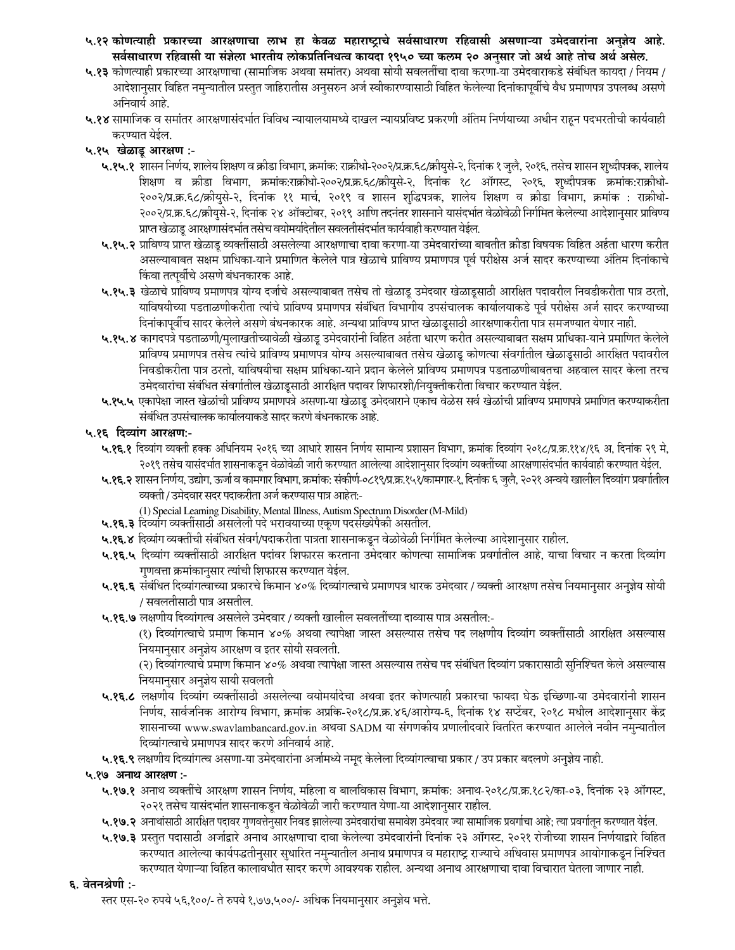- ५.१२ कोणत्याही प्रकारच्या आरक्षणाचा लाभ हा केवळ महाराष्ट्राचे सर्वसाधारण रहिवासी असणाऱ्या उमेदवाराना अनुज्ञेय आहे. सर्वसाधारण रहिवासी या सर्ज्ञला भारतीय लोकप्रतिनिधत्व कायदा १९५० च्या कलम २० अनुसार जो अर्थ आहे तोच अर्थ असेल.
- **५.१३** कोणत्याही प्रकारच्या आरक्षणाचा (सामाजिक अथवा समांतर) अथवा सोयी सवलतींचा दावा करणा-या उमेदवाराकडे संबंधित कायदा / नियम / आदेशानुसार विहित नमुन्यातील प्रस्तुत जाहिरातीस अनुसरुन अर्ज स्वीकारण्यासाठी विहित केलेल्या दिनांकापूर्वीचे वैध प्रमाणपत्र उपलब्ध असणे अनिवार्य आहे.
- **५.१४** सामाजिक व समांतर आरक्षणासंदर्भात विविध न्यायालयमध्ये दाखल न्यायप्रविष्ट प्रकरणी अंतिम निर्णयाच्या अधीन राहून पदभरतीची कार्यवाही करण्यात येईल.

### ५.१५ खेळाडू आरक्षण :-

- **५.१५.१** शासन निर्णय, शालेय शिक्षण व क्रीडा विभाग, क्रमांक: राक्रीधो-२००२/प्र.क.६८/क्रीयुसे-२, दिनांक १ जुलै, २०१६, तसेच शासन शुध्दीपत्रक, शालेय शिक्षण व क्रीडा विभाग, क्रमांक:राक्रीधो-२००२/प्र.क्र.६८/क्रीयुसे-२, दिनांक १८ ऑगस्ट, २०१६, शुध्दीपत्रक क्रमांक:राक्रीधो-२००२/प्र.क्र.६८/क्रीयुसे-२, दिनांक ११ मार्च, २०१९ व शासन शुद्धिपत्रक, शालेय शिक्षण व क्रीडा विभाग, क्रमांक : राक्रीधो-२००२/प्र.क्र.६८/क्रीयुसे-२, दिनांक २४ ऑक्टोबर, २०१९ आणि तदनंतर शासनाने यासंदर्भात वेळोवेळी निर्गमित केलेल्या आदेशानुसार प्राविण्य प्राप्त खेळाडू आरक्षणासंदर्भात तसेच वयोमर्यादेतील सवलतीसंदर्भात कार्यवाही करण्यात येईल.
- **५.१५.२** प्राविण्य प्राप्त खेळाडू व्यक्तींसाठी असलेल्या आरक्षणाचा दावा करणा-या उमेदवारांच्या बाबतीत क्रीडा विषयक विहित अर्हता धारण करीत असल्याबाबत सक्षम प्राधिका-याने प्रमाणित केलेले पात्र खेळाचे प्राविण्य प्रमाणपत्र पूर्व परीक्षेस अर्ज सादर करण्याच्या अंतिम दिनांकाचे किंवा तत्पूर्वीचे असणे बंधनकारक आहे.
- **५.१५.३** खेळाचे प्राविण्य प्रमाणपत्र योग्य दर्जाचे असल्याबाबत तसेच तो खेळाडू उमेदवार खेळाडूसाठी आरक्षित पदावरील निवडीकरीता पात्र ठरतो, याविषयीच्या पडताळणीकरीता त्यांचे प्राविण्य प्रमाणपत्र संबंधित विभागीय उपसंचालक कार्यालयाकडे पूर्व परीक्षेस अर्ज सादर करण्याच्या दिनांकापूर्वीच सादर केलेले असणे बंधनकारक आहे. अन्यथा प्राविण्य प्राप्त खेळाडूसाठी आरक्षणाकरीता पात्र समजण्यात येणार नाही.
- **५.१५.४** कागदपत्रे पडताळणी/मुलाखतीच्यावेळी खेळाडू उमेदवारांनी विहित अर्हता धारण करीत असल्याबाबत सक्षम प्राधिका-याने प्रमाणित केलेले प्राविण्य प्रमाणपत्र तसेच त्यांचे प्राविण्य प्रमाणपत्र योग्य असल्याबाबत तसेच खेळाडू कोणत्या संवर्गातील खेळाडूसाठी आरक्षित पदावरील निवडीकरीता पात्र ठरतो, याविषयीचा सक्षम प्राधिका-याने प्रदान केलेले प्राविण्य प्रमाणपत्र पडताळणीबाबतचा अहवाल सादर केला तरच उमेदवारांचा संबंधित संवर्गातील खेळाडूसाठी आरक्षित पदावर शिफारशी/नियुक्तीकरीता विचार करण्यात येईल.
- **५.१५.५** एकापेक्षा जास्त खेळांची प्राविण्य प्रमाणपत्रे असणा-या खेळाडू उमेदवाराने एकाच वेळेस सर्व खेळांची प्राविण्य प्रमाणपत्रे प्रमाणित करण्याकरीता संबंधित उपसंचालक कार्यालयाकडे सादर करणे बंधनकारक आहे.

### ५.१६ दिव्याग आरक्षण:-

- **५.१६.१** दिव्यांग व्यक्ती हक्क अधिनियम २०१६ च्या आधारे शासन निर्णय सामान्य प्रशासन विभाग, क्रमांक २९८/प्र.क्र.११४/१६ अ, दिनांक २९ मे, २०१९ तसेच यासंदर्भात शासनाकडून वेळोवेळी जारी करण्यात आलेल्या आरक्षणि व्यक्तींच्या आरक्षणासंदर्भात कार्यवाही करण्यात येईल.
- **५.१६.२** शासन निर्णय, उद्योग, ऊर्जा व कामगार विभाग, क्रमांक: संकीर्ण-०८१९/प्र.क्र.१५१/कामगार-१, दिनांक ६ जुलै, २०२१ अन्वये खालील दिव्यांग प्रवर्गातील व्यक्ती / उमेदवार सदर पदाकरीता अर्ज करण्यास पात्र आहेत:-
	- (1) Special Learning Disability, Mental Illness, Autism Spectrum Disorder (M-Mild)
- **५.१६.३** दिव्यांग व्यक्तींसाठी असलेली पदे भरावयाच्या एकूण पदसंख्येपैकी असतील.
- **५.१६.४** दिव्यांग व्यक्तींची संबंधित संवर्ग/पदाकरीता पात्रता शासनाकडून वेळोवेळी निर्गमित केलेल्या आदेशानुसार राहील.
- **५.१६.५** दिव्यांग व्यक्तींसाठी आरक्षित पदांवर शिफारस करताना उमेदवार कोणत्या सामाजिक प्रवर्गातील आहे, याचा विचार न करता दिव्यांग गुणवत्ता क्रमांकानुसार त्यांची शिफारस करण्यात येईल.
- **५.१६.६** संबंधित दिव्यांगत्वाच्या प्रकारचे किमान ४०% दिव्यांगत्वाचे प्रमाणपत्र धारक उमेदवार / व्यक्ती आरक्षण तसेच नियमानुसार अनुज्ञेय सोयी / सवलतीसाठी पात्र असतील.
- **५.१६.७** लक्षणीय दिव्यांगत्व असलेले उमेदवार / व्यक्ती खालील सवलतींच्या दाव्यास पात्र असतील:-

(१) दिव्यांगत्वाचे प्रमाण किमान ४०% अथवा त्यापेक्षा जास्त असल्यास तसेच पद लक्षणीय दिव्यांग व्यक्तींसाठी आरक्षित असल्यास नियमानुसार अनुज्ञेय आरक्षण व इतर सोयी सवलती.

(२) दिव्यांगत्याचे प्रमाण किमान ४०% अथवा त्यापेक्षा जास्त असल्यास तसेच पद संबंधित दिव्यांग प्रकारासाठी सुनिश्चित केले असल्यास नियमानुसार अनुज्ञेय सायी सवलती

- **५.१६.८** लक्षणीय दिव्यांग व्यक्तींसाठी असलेल्या वयोमर्यादेचा अथवा इतर कोणत्याही प्रकारचा फायदा घेऊ इच्छिणा-या उमेदवारांनी शासन निर्णय, सार्वजनिक आरोग्य विभाग, क्रमांक अप्रकि-२०१८/प्र.क्र.४६/आरोग्य-६, दिनांक १४ सप्टेंबर, २०१८ मधील आदेशानुसार केंद्र शासनाच्या www.swavlambancard.gov.in अथवा SADM या संगणकीय प्रणालीदवारे वितरित करण्यात आलेले नवीन नमुन्यातील दिव्यांगत्वाचे प्रमाणपत्र सादर करणे अनिवार्य आहे.
- **५.१६.९** लक्षणीय दिव्यांगत्व असणा-या उमेदवारांना अर्जामध्ये नमूद केलेला दिव्यांगत्वाचा प्रकार / उप प्रकार बदलणे अनुज्ञेय नाही.

### ५.१७ अनाथ आरक्षण :-

- **५.१७.१** अनाथ व्यक्तींचे आरक्षण शासन निर्णय, महिला व बालविकास विभाग, क्रमांक: अनाथ-२०१८/प्र.क्र.१८२/का-०३, दिनांक २३ ऑगस्ट, २०२१ तसेच यासंदर्भात शासनाकडून वेळोवेळी जारी करण्यात येणा-या आदेशानुसार राहील.
- **५.१७.२** अनाथांसाठी आरक्षित पदावर गुणवत्तेनुसार निवड झालेल्या उमेदवाराचया उमेदवार ज्या सामाजिक प्रवर्गाचा आहे; त्या प्रवर्गातून करण्यात येईल.
- **५.१७.३** प्रस्तुत पदासाठी अर्जाद्वारे अनाथ आरक्षणाचा दावा केलेल्या उमेदवारांनी दिनांक २३ ऑगस्ट, २०२१ रोजीच्या शासन निर्णयाद्वारे विहित करण्यात आलेल्या कार्यपद्धतीनुसार सुधारित नमुन्यातील अनाथ प्रमाणपत्र व महाराष्ट्र राज्याचे अधिवास प्रमाणपत्र आयोगाकडून निश्चित करण्यात येणाऱ्या विहित कालावधीत सादर करणे आवश्यक राहील. अन्यथा अनाथ आरक्षणाचा दावा विचारात घेतला जाणार नाही.

### **६. वेतनश्रेणी :-**

स्तर एस-२० रुपये ५६,१००/- ते रुपये १,७७,५००/- अधिक नियमानुसार अनुज्ञेय भत्ते.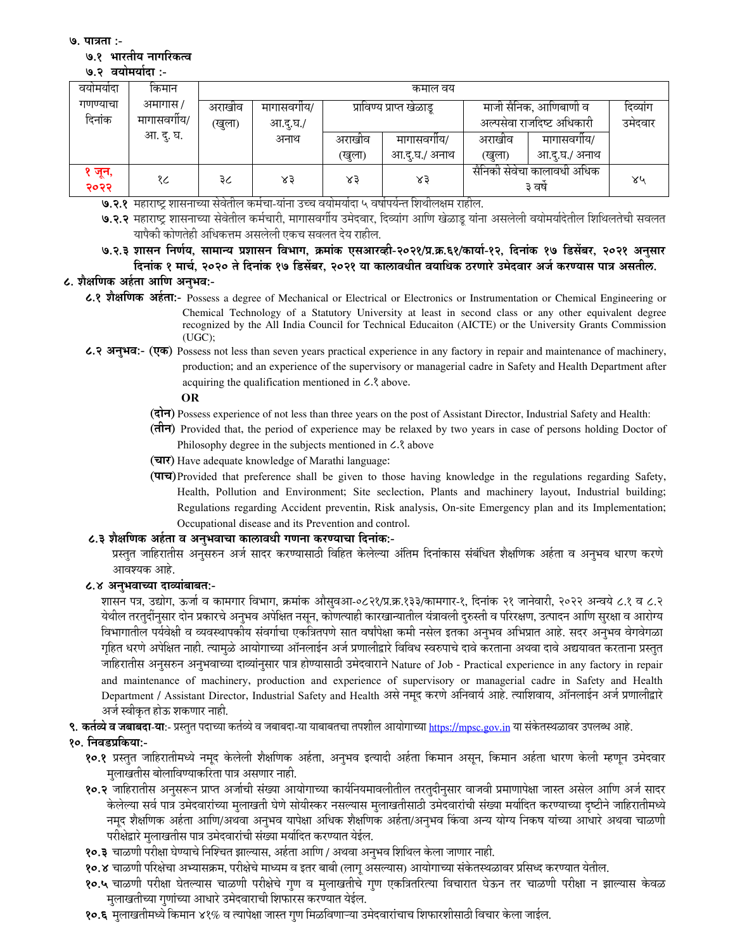७. पात्रता :-

#### ७.१ भारतीय नागरिकत्व

#### ७.२ वयोमर्यादा :-

| वयामयादा       | किमान        | कमाल वय              |          |        |                          |                                      |              |         |  |
|----------------|--------------|----------------------|----------|--------|--------------------------|--------------------------------------|--------------|---------|--|
| गणण्याचा       | अमागास /     | मागासवगीय/<br>अराखीव |          |        | प्राविण्य प्राप्त खेळाडू | माजी सैनिक, आणिबाणी व                | दिव्यांग     |         |  |
| दिनांक         | मागासवर्गीय/ | (खुला)               | आ.दु.घ./ |        |                          | अल्पसेवा राजदिष्ट अधिकारी            |              | उमेदवार |  |
|                | आ. दु. घ.    |                      | अनाथ     | अराखीव | मागासवगीय/               | अराखीव                               | मागासवगीय/   |         |  |
|                |              |                      |          | (खुला) | आ.द्.घ./ अनाथ            | (खुला)                               | आ.द.घ./ अनाथ |         |  |
| ` जून,<br>२०२२ | १८           | ३८                   | ४३       | $x_3$  | ४३                       | सैनिको सेवेचा कालावधी अधिक<br>३ वर्ष |              | ४५      |  |

७.२.१ महाराष्ट्र शासनाच्या सेवेतील कर्मचा-यांना उच्च वयोमर्यादा ५ वर्षापर्यन्त शिथीलक्षम राहील.

७.२.२ महाराष्ट्र शासनाच्या सेवेतील कर्मचारी, मागासवर्गीय उमेदवार, दिव्यांग आणि खेळाडू यांना असलेली वयोमर्यादेतील शिथिलतेची सवलत यापैकी कोणतेही अधिकत्तम असलेली एकच सवलत देय राहील.

७.२.३ शासन निर्णय, सामान्य प्रशासन विभाग, क्रमांक एसआरव्ही-२०२१/प्र.क्र.६१/कार्या-१२, दिनांक १७ डिसेंबर, २०२१ अनुसार दिनांक १ मार्च, २०२० ते दिनांक १७ डिसेंबर, २०२१ या कालावधीत वयाधिक ठरणारे उमेदवार अर्ज करण्यास पात्र असतील.

# ८. शैक्षणिक अर्हता आणि अनुभव:-

- ८.१ शैक्षणिक अर्हता:- Possess a degree of Mechanical or Electrical or Electronics or Instrumentation or Chemical Engineering or Chemical Technology of a Statutory University at least in second class or any other equivalent degree recognized by the All India Council for Technical Education (AICTE) or the University Grants Commission  $(UGC);$
- ८.२ अनुभव:- (एक) Possess not less than seven years practical experience in any factory in repair and maintenance of machinery, production; and an experience of the supervisory or managerial cadre in Safety and Health Department after acquiring the qualification mentioned in C. 3 above.

**OR** 

- (दोन) Possess experience of not less than three years on the post of Assistant Director, Industrial Safety and Health:
- $(\overrightarrow{d}\overrightarrow{\pi})$  Provided that, the period of experience may be relaxed by two years in case of persons holding Doctor of Philosophy degree in the subjects mentioned in  $\mathcal{L}$  above
- (चार) Have adequate knowledge of Marathi language:
- (पाच) Provided that preference shall be given to those having knowledge in the regulations regarding Safety, Health, Pollution and Environment; Site seclection, Plants and machinery layout, Industrial building; Regulations regarding Accident preventin, Risk analysis, On-site Emergency plan and its Implementation; Occupational disease and its Prevention and control.

### ८.३ शैक्षणिक अर्हता व अनुभवाचा कालावधी गणना करण्याचा दिनांक:-

प्रस्तुत जाहिरातीस अनुसरुन अर्ज सादर करण्यासाठी विहित केलेल्या अंतिम दिनांकास संबंधित शैक्षणिक अर्हता व अनुभव धारण करणे आवश्यक आहे.

### ८.४ अनुभवाच्या दाव्यांबाबत:-

शासन पत्र, उद्योग, ऊर्जा व कामगार विभाग, क्रमांक औसुवआ-०८२१/प्र.क्र.१३३/कामगार-१, दिनांक २१ जानेवारी, २०२२ अन्वये ८.१ व ८.२ येथील तरतुदींनुसार दोन प्रकारचे अनुभव अपेक्षित नसून, कोणत्याही कारखान्यातील यंत्रावली दुरुस्ती व परिरक्षण, उत्पादन आणि सुरक्षा व आरोग्य विभागातील पर्यवेक्षी व व्यवस्थापकीय संवर्गाचा एकत्रितपणे सात वर्षांपेक्षा कमी नसेल इतका अनुभव अभिप्रात आहे. सदर अनुभव वेगवेगळा गृहित धरणे अपेक्षित नाही. त्यामुळे आयोगाच्या ऑनलाईन अर्ज प्रणालीद्वारे विविध स्वरुपाचे दावे करताना अथवा दावे अद्ययावत करताना प्रस्तुत जाहिरातीस अनुसरुन अनुभवाच्या दाव्यांनुसार पात्र होण्यासाठी उमेदवाराने Nature of Job - Practical experience in any factory in repair and maintenance of machinery, production and experience of supervisory or managerial cadre in Safety and Health Department / Assistant Director, Industrial Safety and Health असे नमुद करणे अनिवार्य आहे. त्याशिवाय, ऑनलाईन अर्ज प्रणालीद्वारे अर्ज स्वीकृत होऊ शकणार नाही.

९. कर्तव्ये व जबाबदा-या:- प्रस्तुत पदाच्या कर्तव्ये व जबाबदा-या याबाबतचा तपशील आयोगाच्या https://mpsc.gov.in या संकेतस्थळावर उपलब्ध आहे.

### १०. निवडप्रकिया:-

- १०.१ प्रस्तुत जाहिरातीमध्ये नमूद केलेली शैक्षणिक अर्हता, अनुभव इत्यादी अर्हता किमान असून, किमान अर्हता धारण केली म्हणून उमेदवार मलाखतीस बोलाविण्याकरिता पात्र असणार नाही.
- १०.२ जाहिरातीस अनुसरून प्राप्त अर्जाची संख्या आयोगाच्या कार्यनियमावलीतील तरतुदीनुसार वाजवी प्रमाणापेक्षा जास्त असेल आणि अर्ज सादर केलेल्या सर्व पात्र उमेदवारांच्या मूलाखती घेणे सोयीस्कर नसल्यास मूलाखतीसाठी उमेदवारांची संख्या मर्यादित करण्याच्या दृष्टीने जाहिरातीमध्ये नमद शैक्षणिक अर्हता आणि/अथवा अनभव यापेक्षा अधिक शैक्षणिक अर्हता/अनभव किंवा अन्य योग्य निकष यांच्या आधारे अथवा चाळणी परीक्षेद्वारे मुलाखतीस पात्र उमेदवारांची संख्या मर्यादित करण्यात येईल.
- १०.३ चाळणी परीक्षा घेण्याचे निश्चित झाल्यास, अर्हता आणि / अथवा अनुभव शिथिल केला जाणार नाही.
- १०.४ चाळणी परिक्षेचा अभ्यासक्रम, परीक्षेचे माध्यम व इतर बाबी (लागू असल्यास) आयोगाच्या संकेतस्थळावर प्रसिध्द करण्यात येतील.
- १०.५ चाळणी परीक्षा घेतल्यास चाळणी परीक्षेचे गुण व मुलाखतीचे गुण एकत्रितरित्या विचारात घेऊन तर चाळणी परीक्षा न झाल्यास केवळ मलाखतीच्या गणांच्या आधारे उमेदवाराची शिफारस करण्यात येईल.
- १०.६ मुलाखतीमध्ये किमान ४१% व त्यापेक्षा जास्त गुण मिळविणाऱ्या उमेदवारांचाच शिफारशीसाठी विचार केला जाईल.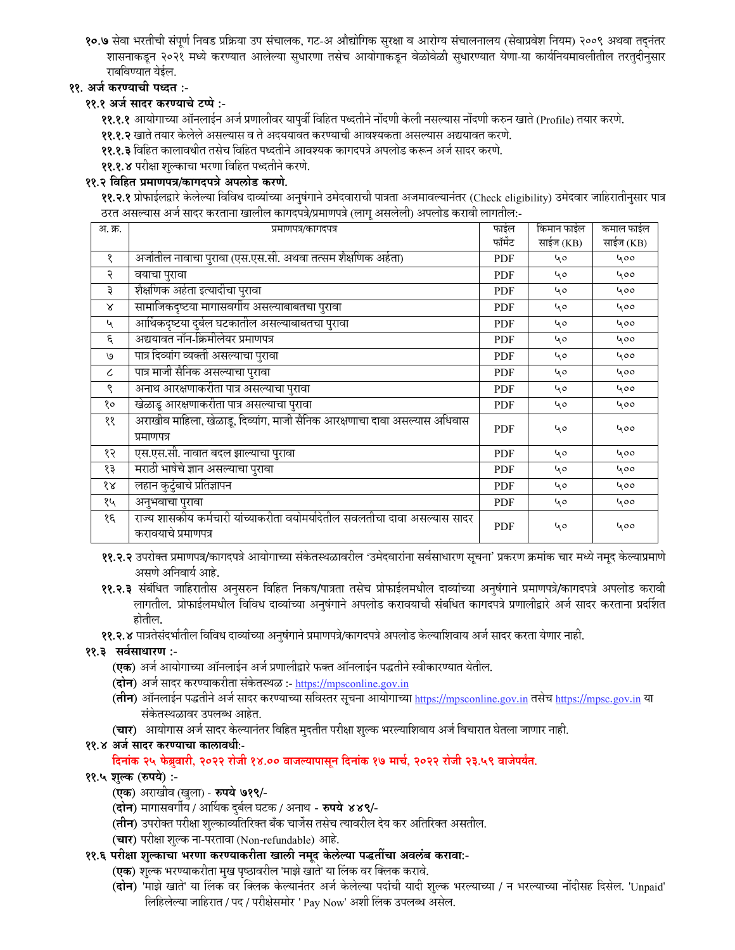१०.७ सेवा भरतीची संपूर्ण निवड प्रक्रिया उप संचालक, गट-अ औद्योगिक सुरक्षा व आरोग्य संचालनालय (सेवाप्रवेश नियम) २००९ अथवा तदनंतर शासनाकडून २०२१ मध्ये करण्यात आलेल्या सुधारणा तसेच आयोगाकडून वेळोवेळी सुधारण्यात येणा-या कार्यनियमावलीतील तरतुदीनुसार राबविण्यात येईल.

# ११. अर्ज करण्याची पध्दत :-

# ११.१ अर्ज सादर करण्याचे टप्पे :-

११.१.१ आयोगाच्या ऑनलाईन अर्ज प्रणालीवर यापूर्वी विहित पध्दतीने नोंदणी केली नसल्यास नोंदणी करुन खाते (Profile) तयार करणे.

११.१.२ खाते तयार केलेले असल्यास व ते अदययावत करण्याची आवश्यकता असल्यास अद्ययावत करणे.

११.१.३ विहित कालावधीत तसेच विहित पध्दतीने आवश्यक कागदपत्रे अपलोड करून अर्ज सादर करणे.

११.१.४ परीक्षा शुल्काचा भरणा विहित पध्दतीने करणे.

### ११.२ विहित प्रमाणपत्र/कागदपत्रे अपलोड करणे.

११.२.१ प्रोफाईलद्वारे केलेल्या विविध दाव्यांच्या अनुषंगाने उमेदवाराची पात्रता अजमावल्यानंतर (Check eligibility) उमेदवार जाहिरातीनुसार पात्र ठरत असल्यास अर्ज सादर करताना खालील कागदपत्रे/प्रमाणपत्रे (लाग् असलेली) अपलोड करावी लागतील:-

| अ. क्र.                     | प्रमाणपत्र/कागदपत्र                                                                               | फाईल       | किमान फाईल | कमाल फाईल |
|-----------------------------|---------------------------------------------------------------------------------------------------|------------|------------|-----------|
|                             |                                                                                                   | फॉर्मेट    | साईज (KB)  | साईज (KB) |
| १                           | अर्जातील नावाचा पुरावा (एस.एस.सी. अथवा तत्सम शैक्षणिक अर्हता)                                     | <b>PDF</b> | 40         | 400       |
| २                           | वयाचा पुरावा                                                                                      | <b>PDF</b> | 40         | 400       |
| ३                           | शैक्षणिक अर्हता इत्यादीचा पुरावा                                                                  | <b>PDF</b> | 40         | 400       |
| $\boldsymbol{\lambda}$      | सामाजिकदृष्टया मागासवर्गीय असल्याबाबतचा पुरावा                                                    | PDF        | 40         | 400       |
| $\mathcal{L}_{\mathcal{A}}$ | आर्थिकदृष्टया दुर्बल घटकातील असल्याबाबतचा पुरावा                                                  | <b>PDF</b> | 40         | 400       |
| ٤                           | अद्ययावत नॉन-क्रिमीलेयर प्रमाणपत्र                                                                | <b>PDF</b> | 40         | 400       |
| ٯا                          | पात्र दिव्यांग व्यक्ती असल्याचा पुरावा                                                            | <b>PDF</b> | 40         | 400       |
| $\epsilon$                  | पात्र माजी सैनिक असल्याचा पुरावा                                                                  | <b>PDF</b> | 40         | 400       |
| ९                           | अनाथ आरक्षणाकरीता पात्र असल्याचा पुरावा                                                           | <b>PDF</b> | 40         | 400       |
| १०                          | खेळाडू आरक्षणाकरीता पात्र असल्याचा पुरावा                                                         | <b>PDF</b> | 40         | 400       |
| ११                          | अराखीव माहिला, खेळाडू, दिव्यांग, माजी सैनिक आरक्षणाचा दावा असल्यास अधिवास<br>प्रमाणपत्र           | <b>PDF</b> | 40         | 400       |
| १२                          | एस.एस.सी. नावात बदल झाल्याचा पुरावा                                                               | PDF        | 40         | 400       |
| १३                          | मराठी भाषेचे ज्ञान असल्याचा पुरावा                                                                | <b>PDF</b> | 40         | 400       |
| $\delta \mathcal{R}$        | लहान कुटुंबाचे प्रतिज्ञापन                                                                        | <b>PDF</b> | 40         | 400       |
| १५                          | अनुभवाचा पुरावा                                                                                   | <b>PDF</b> | 40         | 400       |
| १६                          | राज्य शासकीय कर्मचारी यांच्याकरीता वयोमर्यादेतील सवलतीचा दावा असल्यास सादर<br>करावयाचे प्रमाणपत्र | PDF        | 40         | 400       |

११.२.२ उपरोक्त प्रमाणपत्र/कागदपत्रे आयोगाच्या संकेतस्थळावरील 'उमेदवारांना सर्वसाधारण सूचना' प्रकरण क्रमांक चार मध्ये नमूद केल्याप्रमाणे असणे अनिवार्य आहे.

- ११.२.३ संबंधित जाहिरातीस अनुसरुन विहित निकष/पात्रता तसेच प्रोफाईलमधील दाव्यांच्या अनुषंगाने प्रमाणपत्रे/कागदपत्रे अपलोड करावी लागतील. प्रोफाईलमधील विविध दाव्यांच्या अनुषंगाने अपलोड करावयाची संबधित कागदपत्रे प्रणालीद्वारे अर्ज सादर करताना प्रदर्शित होतील.
- ११.२.४ पात्रतेसंदर्भातील विविध दाव्यांच्या अनुषंगाने प्रमाणपत्रे/कागदपत्रे अपलोड केल्याशिवाय अर्ज सादर करता येणार नाही.

# ११.३ सर्वसाधारण :-

- (एक) अर्ज आयोगाच्या ऑनलाईन अर्ज प्रणालीद्वारे फक्त ऑनलाईन पद्धतीने स्वीकारण्यात येतील.
- (दोन) अर्ज सादर करण्याकरीता संकेतस्थळ :- https://mpsconline.gov.in
- (तीन) ऑनलाईन पद्धतीने अर्ज सादर करण्याच्या सविस्तर सूचना आयोगाच्या https://mpsconline.gov.in तसेच https://mpsc.gov.in या संकेतस्थळावर उपलब्ध आहेत.
- (चार) आयोगास अर्ज सादर केल्यानंतर विहित मुदतीत परीक्षा शुल्क भरल्याशिवाय अर्ज विचारात घेतला जाणार नाही.

# ११.४ अर्ज सादर करण्याचा कालावधी:-

# दिनांक २५ फेब्रुवारी, २०२२ रोजी १४.०० वाजल्यापासून दिनांक १७ मार्च, २०२२ रोजी २३.५९ वाजेपर्यंत.

# ११.५ शुल्क (रुपये) :-

- (एक) अराखीव (खुला) रुपये ७१९/-
- (दोन) मागासवर्गीय / आर्थिक दुर्बल घटक / अनाथ रुपये ४४९/-
- (**तीन**) उपरोक्त परीक्षा शुल्काव्यतिरिक्त बँक चार्जेस तसेच त्यावरील देय कर अतिरिक्त असतील.
- (चार) परीक्षा शुल्क ना-परतावा (Non-refundable) आहे.
- ११.६ परीक्षा शुल्काचा भरणा करण्याकरीता खाली नमूद केलेल्या पद्धतींचा अवलंब करावा:-
	- (एक) शुल्क भरण्याकरीता मुख पृष्ठावरील 'माझे खाते' या लिंक वर क्लिक करावे.
	- (दोन) 'माझे खाते' या लिंक वर क्लिक केल्यानंतर अर्ज केलेल्या पदांची यादी शुल्क भरल्याच्या / न भरल्याच्या नोंदीसह दिसेल. 'Unpaid' लिहिलेल्या जाहिरात / पद / परीक्षेसमोर ' Pay Now' अशी लिंक उपलब्ध असेल.